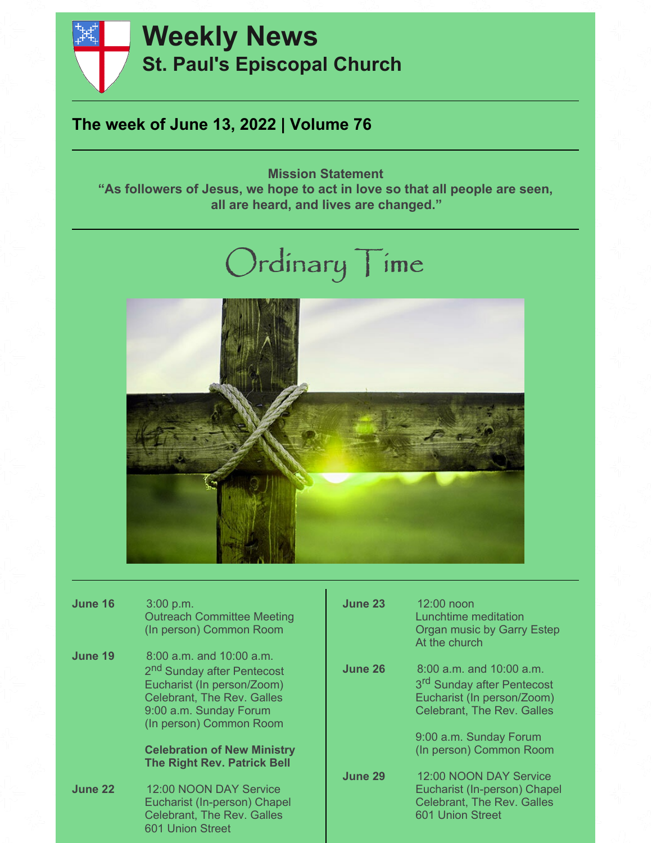

# **Weekly News St. Paul's Episcopal Church**

## **The week of June 13, 2022 | Volume 76**

**Mission Statement "As followers of Jesus, we hope to act in love so that all people are seen, all are heard, and lives are changed."**

# Ordinary Time



| June 16 | 3:00 p.m.<br><b>Outreach Committee Meeting</b><br>(In person) Common Room                                                                                                                      | June 23 | 12:00 noon<br>Lunchtime meditation<br>Organ music by Garry Estep<br>At the church                                                     |
|---------|------------------------------------------------------------------------------------------------------------------------------------------------------------------------------------------------|---------|---------------------------------------------------------------------------------------------------------------------------------------|
| June 19 | $8:00$ a.m. and $10:00$ a.m.<br>2 <sup>nd</sup> Sunday after Pentecost<br>Eucharist (In person/Zoom)<br><b>Celebrant, The Rev. Galles</b><br>9:00 a.m. Sunday Forum<br>(In person) Common Room | June 26 | 8:00 a.m. and 10:00 a.m.<br>3 <sup>rd</sup> Sunday after Pentecost<br>Eucharist (In person/Zoom)<br><b>Celebrant, The Rev. Galles</b> |
|         | <b>Celebration of New Ministry</b><br><b>The Right Rev. Patrick Bell</b>                                                                                                                       |         | 9:00 a.m. Sunday Forum<br>(In person) Common Room                                                                                     |
| June 22 | 12:00 NOON DAY Service<br>Eucharist (In-person) Chapel<br><b>Celebrant, The Rev. Galles</b><br>601 Union Street                                                                                | June 29 | 12:00 NOON DAY Service<br>Eucharist (In-person) Chapel<br><b>Celebrant, The Rev. Galles</b><br>601 Union Street                       |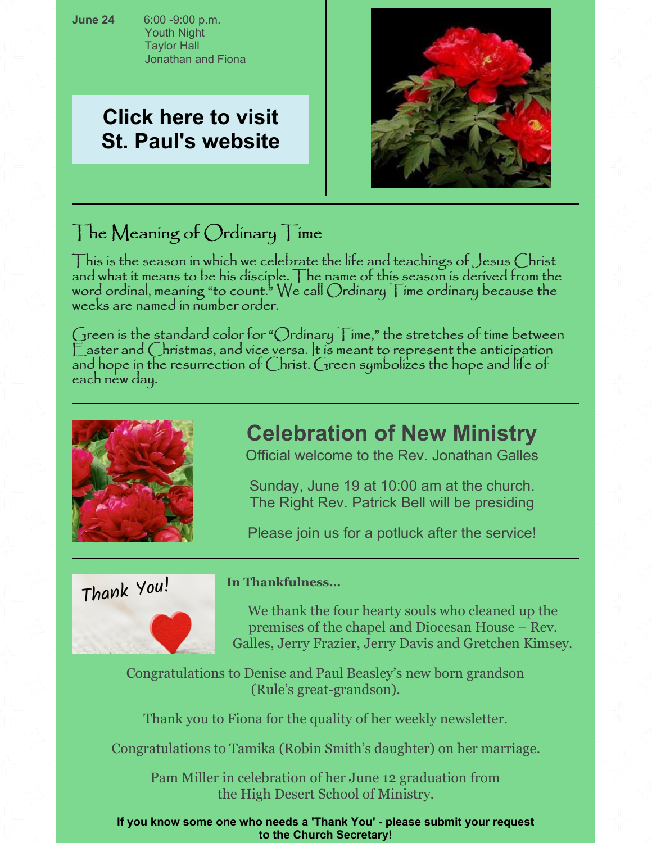**June 24** 6:00 -9:00 p.m. Youth Night Taylor Hall Jonathan and Fiona

# **Click here to visit St. Paul's [website](https://www.stpaulsthedalles.org/)**



# The Meaning of Ordinary Time

This is the season in which we celebrate the life and teachings of Jesus Christ and what it means to be his disciple. The name of this season is derived from the word ordinal, meaning "to count." We call  $O$ rdinary  $\top$ ime ordinary because the weeks are named in number order.

Green is the standard color for "Ordinary  $\top$ ime," the stretches of time between  $\mathbb E$  aster and Christmas, and vice versa. It is meant to represent the anticipation and hope in the resurrection of Christ. Green symbolizes the hope and life of each new day.



# **Celebration of New Ministry**

Official welcome to the Rev. Jonathan Galles

Sunday, June 19 at 10:00 am at the church. The Right Rev. Patrick Bell will be presiding

Please join us for a potluck after the service!

Thank You!

### **In Thankfulness…**

We thank the four hearty souls who cleaned up the premises of the chapel and Diocesan House – Rev. Galles, Jerry Frazier, Jerry Davis and Gretchen Kimsey.

Congratulations to Denise and Paul Beasley's new born grandson (Rule's great-grandson).

Thank you to Fiona for the quality of her weekly newsletter.

Congratulations to Tamika (Robin Smith's daughter) on her marriage.

Pam Miller in celebration of her June 12 graduation from the High Desert School of Ministry.

**If you know some one who needs a 'Thank You' - please submit your request to the Church Secretary!**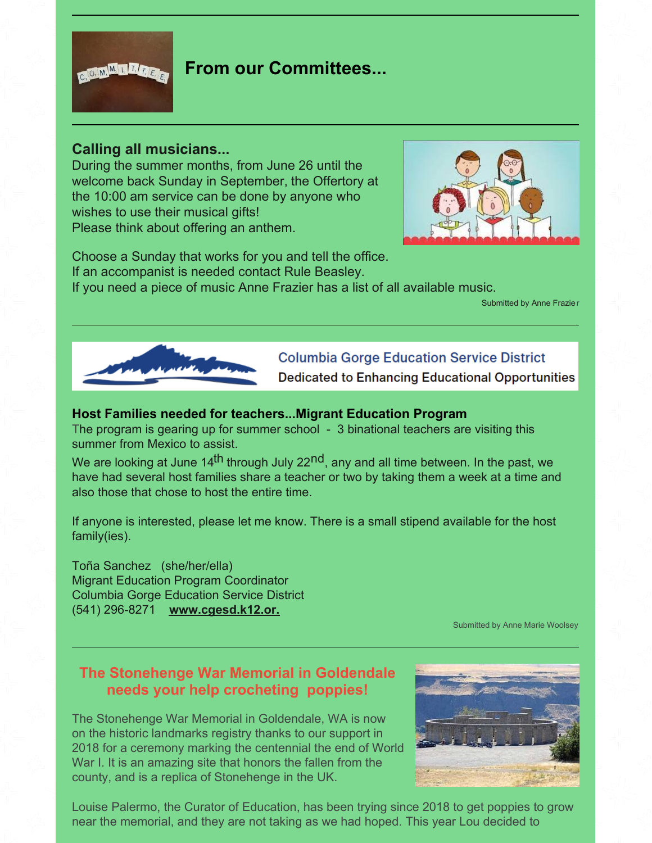

### **From our Committees...**

#### **Calling all musicians...**

During the summer months, from June 26 until the welcome back Sunday in September, the Offertory at the 10:00 am service can be done by anyone who wishes to use their musical gifts! Please think about offering an anthem.



Choose a Sunday that works for you and tell the office. If an accompanist is needed contact Rule Beasley. If you need a piece of music Anne Frazier has a list of all available music.

Submitted by Anne Frazier



### **Columbia Gorge Education Service District**

Dedicated to Enhancing Educational Opportunities

#### **Host Families needed for teachers...Migrant Education Program**

The program is gearing up for summer school - 3 binational teachers are visiting this summer from Mexico to assist.

We are looking at June 14<sup>th</sup> through July 22<sup>nd</sup>, any and all time between. In the past, we have had several host families share a teacher or two by taking them a week at a time and also those that chose to host the entire time.

If anyone is interested, please let me know. There is a small stipend available for the host family(ies).

Toña Sanchez (she/her/ella) Migrant Education Program Coordinator Columbia Gorge Education Service District (541) 296-8271 **[www.cgesd.k12.or.](http://www.cgesd.k12.or.us/)**

Submitted by Anne Marie Woolsey

### **The Stonehenge War Memorial in Goldendale needs your help crocheting poppies!**

The Stonehenge War Memorial in Goldendale, WA is now on the historic landmarks registry thanks to our support in 2018 for a ceremony marking the centennial the end of World War I. It is an amazing site that honors the fallen from the county, and is a replica of Stonehenge in the UK.



Louise Palermo, the Curator of Education, has been trying since 2018 to get poppies to grow near the memorial, and they are not taking as we had hoped. This year Lou decided to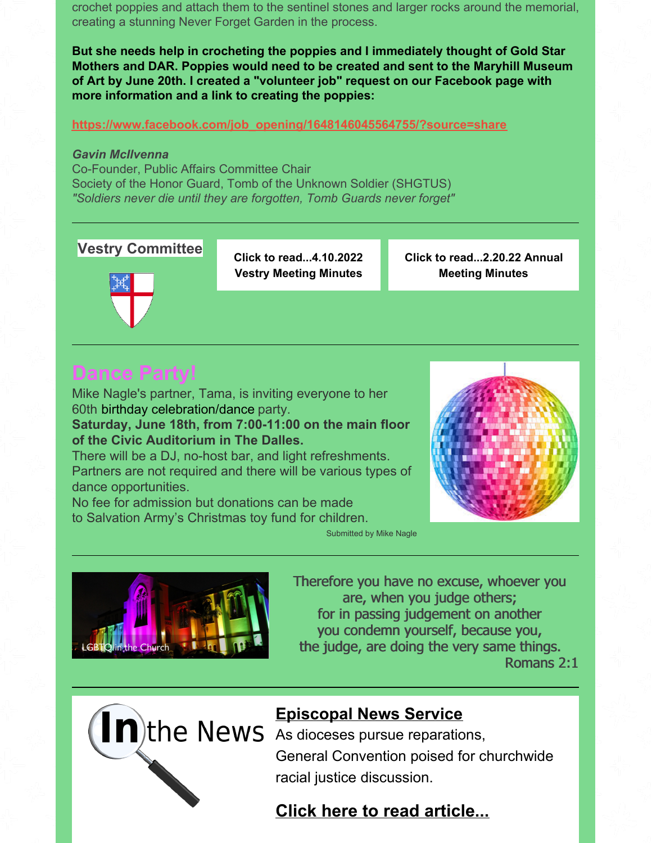crochet poppies and attach them to the sentinel stones and larger rocks around the memorial, creating a stunning Never Forget Garden in the process.

**But she needs help in crocheting the poppies and I immediately thought of Gold Star Mothers and DAR. Poppies would need to be created and sent to the Maryhill Museum of Art by June 20th. I created a "volunteer job" request on our Facebook page with more information and a link to creating the poppies:**

**[https://www.facebook.com/job\\_opening/1648146045564755/?source=share](https://www.facebook.com/job_opening/1648146045564755/?source=share)**

#### *Gavin McIlvenna*

Co-Founder, Public Affairs Committee Chair Society of the Honor Guard, Tomb of the Unknown Soldier (SHGTUS) *"Soldiers never die until they are forgotten, Tomb Guards never forget"*

#### **Vestry Committee**

**Click to [read...4.10.2022](https://files.constantcontact.com/0376e42d701/b7f65461-0c95-4105-b1f2-066e9e0d378e.pdf?rdr=true) Vestry Meeting Minutes**

**Click to [read...2.20.22](https://files.constantcontact.com/0376e42d701/1b3834fd-75b4-4c32-9936-ab88bb89e819.pdf?rdr=true) Annual Meeting Minutes**



# **Dance Party!**

Mike Nagle's partner, Tama, is inviting everyone to her 60th birthday celebration/dance party.

**Saturday, June 18th, from 7:00-11:00 on the main floor of the Civic Auditorium in The Dalles.**

There will be a DJ, no-host bar, and light refreshments. Partners are not required and there will be various types of dance opportunities.

No fee for admission but donations can be made to Salvation Army's Christmas toy fund for children.



Submitted by Mike Nagle



Therefore you have no excuse, whoever you are, when you judge others; for in passing judgement on another you condemn yourself, because you, the judge, are doing the very same things.

Romans 2:1



### **Episcopal News Service**

General Convention poised for churchwide racial justice discussion.

### **Click here to read [article...](https://www.episcopalnewsservice.org/2022/06/09/as-dioceses-pursue-reparations-general-convention-poised-for-churchwide-racial-justice-discussion/)**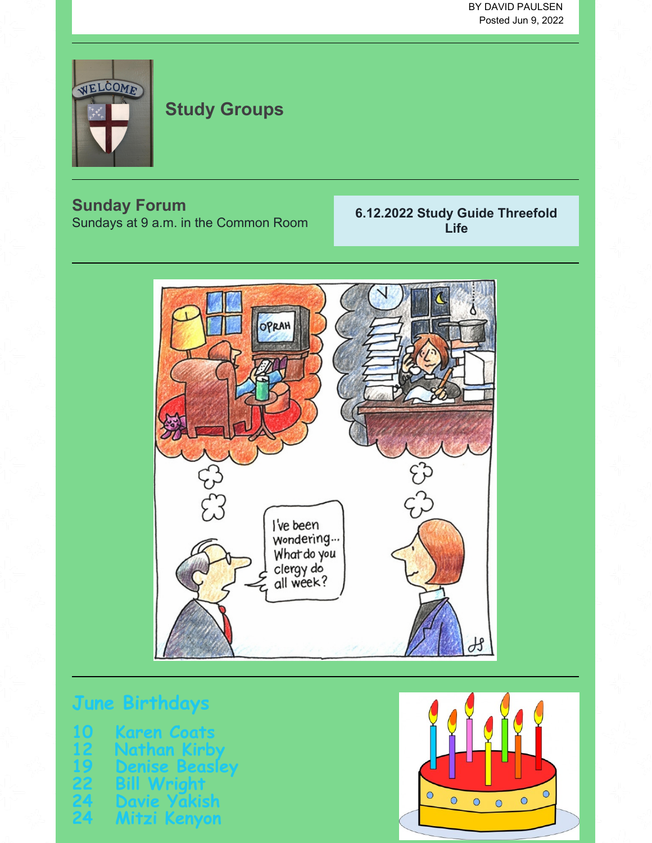BY DAVID PAULSEN Posted Jun 9, 2022



# **Study Groups**

## **Sunday Forum**

Sundays at 9 a.m. in the Common Room

### **6.12.2022 Study Guide [Threefold](https://files.constantcontact.com/0376e42d701/555c20bf-4562-4e48-aab4-ba85968fa3e1.pdf?rdr=true) Life**



# **June Birthda**

| 10            | Karen Coats    |
|---------------|----------------|
| $\mathbf{12}$ | Nathan Kirby   |
| 19            | Denise Beasley |
| 22            | Bill Wright    |
| 24            | Davie Yakish   |
| 24            | Mitzi Kenyon   |

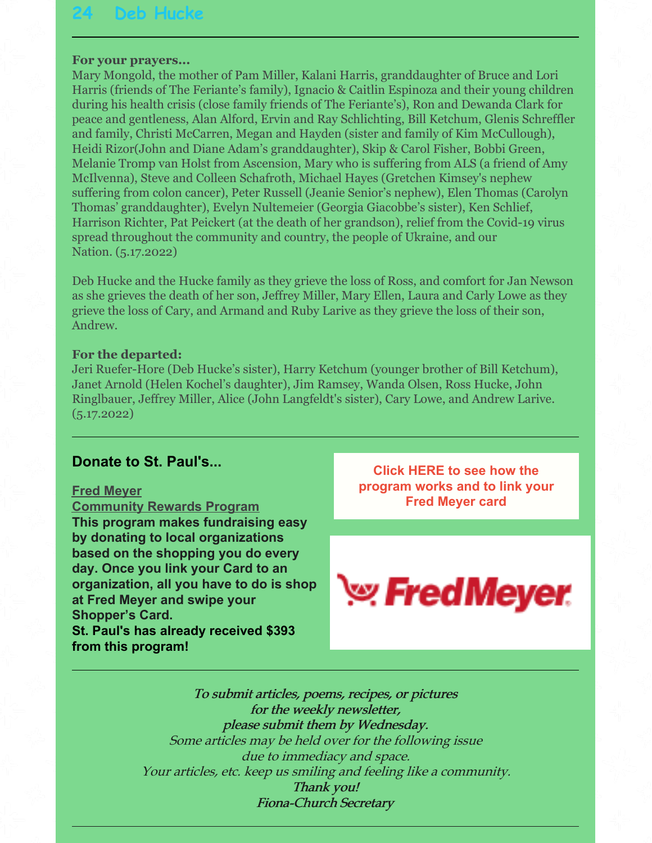#### **For your prayers...**

Mary Mongold, the mother of Pam Miller, Kalani Harris, granddaughter of Bruce and Lori Harris (friends of The Feriante's family), Ignacio & Caitlin Espinoza and their young children during his health crisis (close family friends of The Feriante's), Ron and Dewanda Clark for peace and gentleness, Alan Alford, Ervin and Ray Schlichting, Bill Ketchum, Glenis Schreffler and family, Christi McCarren, Megan and Hayden (sister and family of Kim McCullough), Heidi Rizor(John and Diane Adam's granddaughter), Skip & Carol Fisher, Bobbi Green, Melanie Tromp van Holst from Ascension, Mary who is suffering from ALS (a friend of Amy McIlvenna), Steve and Colleen Schafroth, Michael Hayes (Gretchen Kimsey's nephew suffering from colon cancer), Peter Russell (Jeanie Senior's nephew), Elen Thomas (Carolyn Thomas' granddaughter), Evelyn Nultemeier (Georgia Giacobbe's sister), Ken Schlief, Harrison Richter, Pat Peickert (at the death of her grandson), relief from the Covid-19 virus spread throughout the community and country, the people of Ukraine, and our Nation. (5.17.2022)

Deb Hucke and the Hucke family as they grieve the loss of Ross, and comfort for Jan Newson as she grieves the death of her son, Jeffrey Miller, Mary Ellen, Laura and Carly Lowe as they grieve the loss of Cary, and Armand and Ruby Larive as they grieve the loss of their son, Andrew.

#### **For the departed:**

Jeri Ruefer-Hore (Deb Hucke's sister), Harry Ketchum (younger brother of Bill Ketchum), Janet Arnold (Helen Kochel's daughter), Jim Ramsey, Wanda Olsen, Ross Hucke, John Ringlbauer, Jeffrey Miller, Alice (John Langfeldt's sister), Cary Lowe, and Andrew Larive.  $(5.17.2022)$ 

#### **Donate to St. Paul's...**

#### **Fred Meyer**

**Community Rewards Program This program makes fundraising easy by donating to local organizations based on the shopping you do every day. Once you link your Card to an organization, all you have to do is shop at Fred Meyer and swipe your Shopper's Card. St. Paul's has already received \$393 from this program!**

**Click HERE to see how the [program](https://www.fredmeyer.com/i/community/community-rewards) works and to link your Fred Meyer card**



To submit articles, poems, recipes, or pictures for the weekly newsletter, please submit them by Wednesday. Some articles may be held over for the following issue due to immediacy and space. Your articles, etc. keep us smiling and feeling like <sup>a</sup> community. Thank you! Fiona-Church Secretary